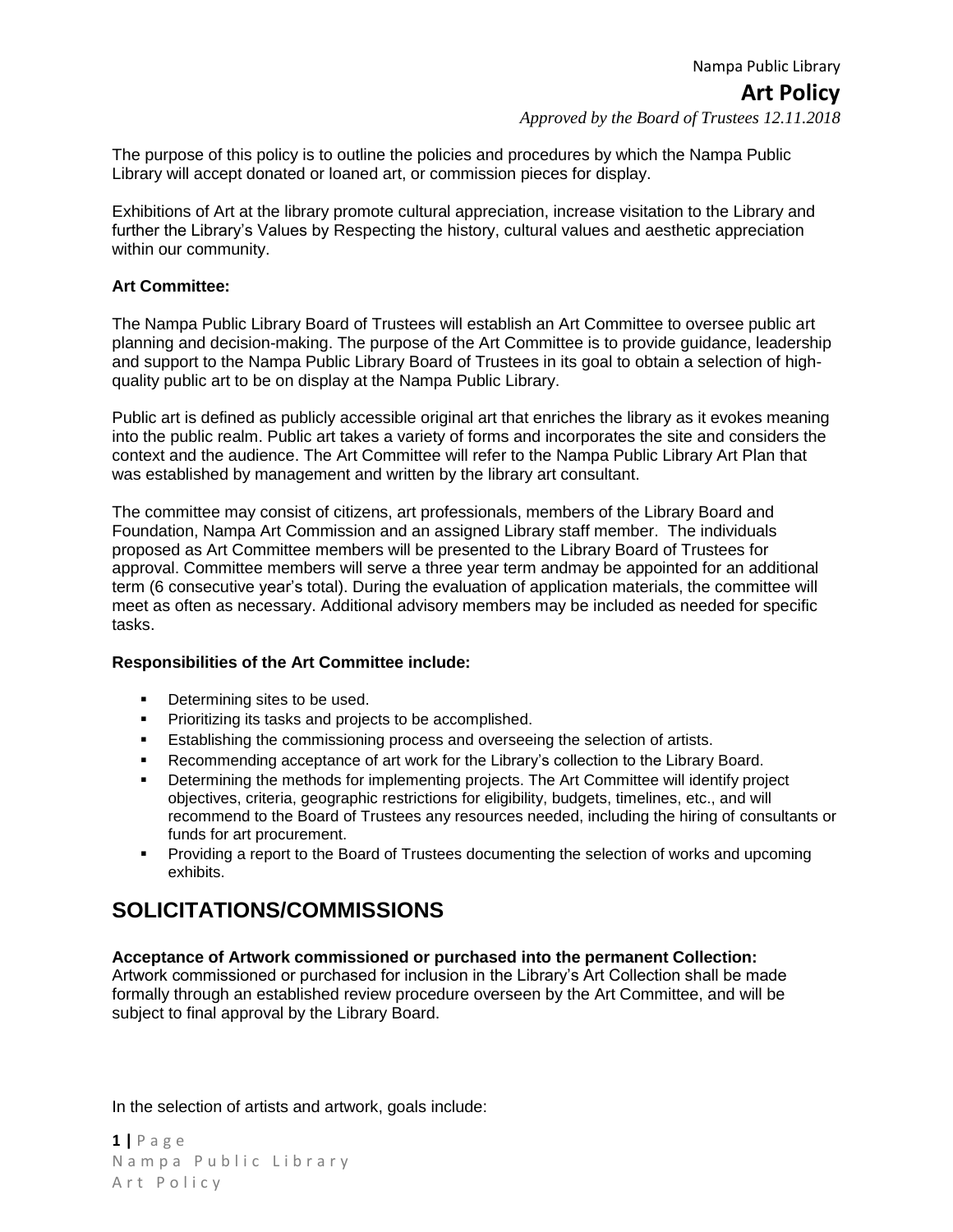The purpose of this policy is to outline the policies and procedures by which the Nampa Public Library will accept donated or loaned art, or commission pieces for display.

Exhibitions of Art at the library promote cultural appreciation, increase visitation to the Library and further the Library's Values by Respecting the history, cultural values and aesthetic appreciation within our community.

### **Art Committee:**

The Nampa Public Library Board of Trustees will establish an Art Committee to oversee public art planning and decision-making. The purpose of the Art Committee is to provide guidance, leadership and support to the Nampa Public Library Board of Trustees in its goal to obtain a selection of highquality public art to be on display at the Nampa Public Library.

Public art is defined as publicly accessible original art that enriches the library as it evokes meaning into the public realm. Public art takes a variety of forms and incorporates the site and considers the context and the audience. The Art Committee will refer to the Nampa Public Library Art Plan that was established by management and written by the library art consultant.

The committee may consist of citizens, art professionals, members of the Library Board and Foundation, Nampa Art Commission and an assigned Library staff member. The individuals proposed as Art Committee members will be presented to the Library Board of Trustees for approval. Committee members will serve a three year term andmay be appointed for an additional term (6 consecutive year's total). During the evaluation of application materials, the committee will meet as often as necessary. Additional advisory members may be included as needed for specific tasks.

## **Responsibilities of the Art Committee include:**

- Determining sites to be used.
- Prioritizing its tasks and projects to be accomplished.
- **Establishing the commissioning process and overseeing the selection of artists.**
- Recommending acceptance of art work for the Library's collection to the Library Board.
- Determining the methods for implementing projects. The Art Committee will identify project objectives, criteria, geographic restrictions for eligibility, budgets, timelines, etc., and will recommend to the Board of Trustees any resources needed, including the hiring of consultants or funds for art procurement.
- **Providing a report to the Board of Trustees documenting the selection of works and upcoming** exhibits.

# **SOLICITATIONS/COMMISSIONS**

## **Acceptance of Artwork commissioned or purchased into the permanent Collection:**

Artwork commissioned or purchased for inclusion in the Library's Art Collection shall be made formally through an established review procedure overseen by the Art Committee, and will be subject to final approval by the Library Board.

In the selection of artists and artwork, goals include:

**1 |** P a g e N a m p a P u b l i c L i b r a r v Art Policy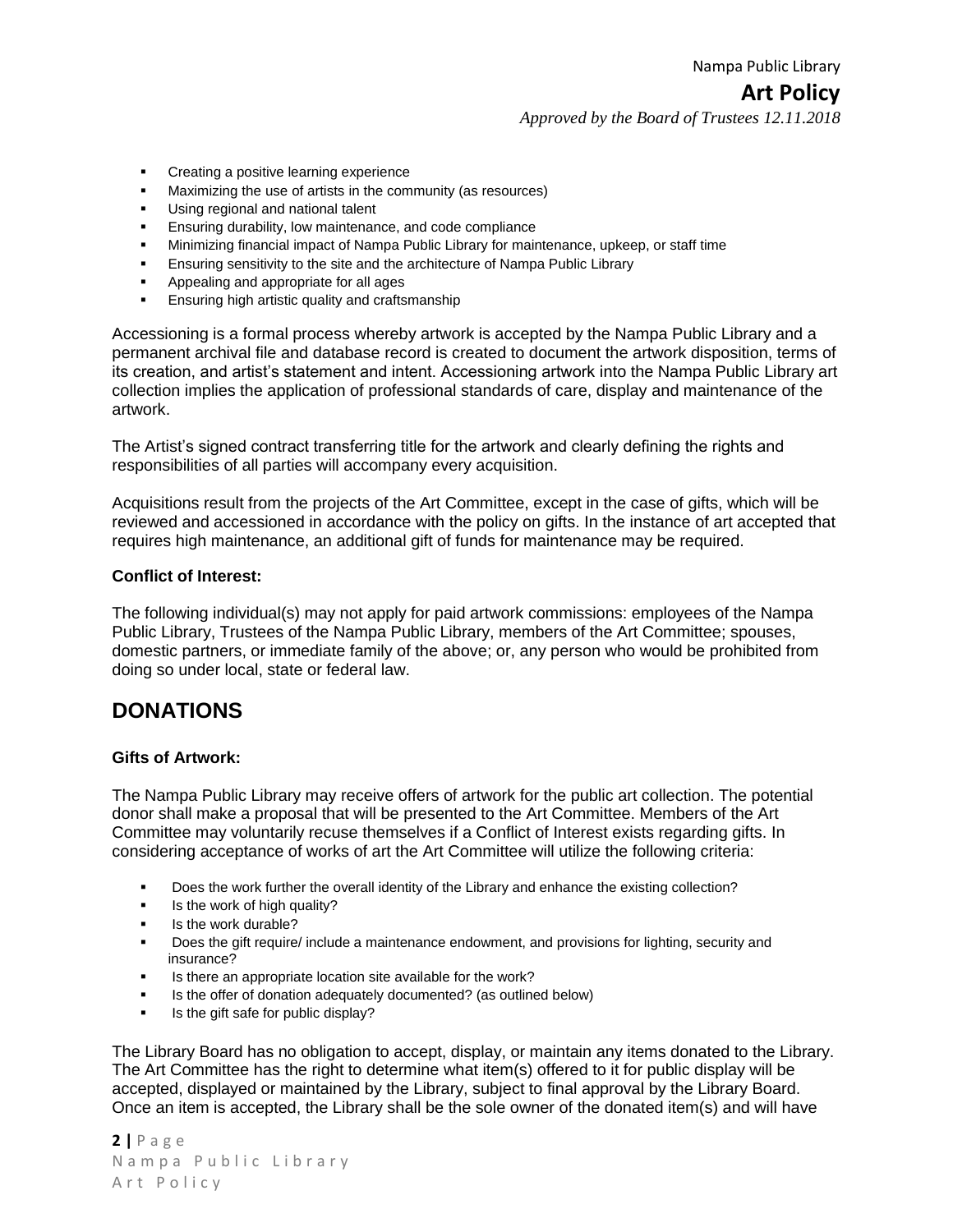Nampa Public Library **Art Policy**  *Approved by the Board of Trustees 12.11.2018*

- **•** Creating a positive learning experience
- Maximizing the use of artists in the community (as resources)
- Using regional and national talent
- Ensuring durability, low maintenance, and code compliance
- Minimizing financial impact of Nampa Public Library for maintenance, upkeep, or staff time
- Ensuring sensitivity to the site and the architecture of Nampa Public Library
- Appealing and appropriate for all ages
- Ensuring high artistic quality and craftsmanship

Accessioning is a formal process whereby artwork is accepted by the Nampa Public Library and a permanent archival file and database record is created to document the artwork disposition, terms of its creation, and artist's statement and intent. Accessioning artwork into the Nampa Public Library art collection implies the application of professional standards of care, display and maintenance of the artwork.

The Artist's signed contract transferring title for the artwork and clearly defining the rights and responsibilities of all parties will accompany every acquisition.

Acquisitions result from the projects of the Art Committee, except in the case of gifts, which will be reviewed and accessioned in accordance with the policy on gifts. In the instance of art accepted that requires high maintenance, an additional gift of funds for maintenance may be required.

#### **Conflict of Interest:**

The following individual(s) may not apply for paid artwork commissions: employees of the Nampa Public Library, Trustees of the Nampa Public Library, members of the Art Committee; spouses, domestic partners, or immediate family of the above; or, any person who would be prohibited from doing so under local, state or federal law.

# **DONATIONS**

### **Gifts of Artwork:**

The Nampa Public Library may receive offers of artwork for the public art collection. The potential donor shall make a proposal that will be presented to the Art Committee. Members of the Art Committee may voluntarily recuse themselves if a Conflict of Interest exists regarding gifts. In considering acceptance of works of art the Art Committee will utilize the following criteria:

- Does the work further the overall identity of the Library and enhance the existing collection?
- **E** Is the work of high quality?
- Is the work durable?
- Does the gift require/ include a maintenance endowment, and provisions for lighting, security and insurance?
- Is there an appropriate location site available for the work?
- Is the offer of donation adequately documented? (as outlined below)
- Is the gift safe for public display?

The Library Board has no obligation to accept, display, or maintain any items donated to the Library. The Art Committee has the right to determine what item(s) offered to it for public display will be accepted, displayed or maintained by the Library, subject to final approval by the Library Board. Once an item is accepted, the Library shall be the sole owner of the donated item(s) and will have

**2 |** P a g e Nampa Public Library Art Policy